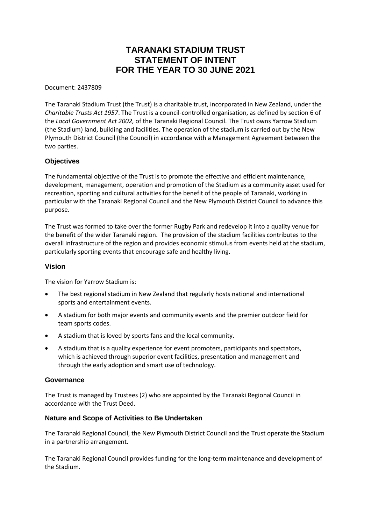# **TARANAKI STADIUM TRUST STATEMENT OF INTENT FOR THE YEAR TO 30 JUNE 2021**

Document: 2437809

The Taranaki Stadium Trust (the Trust) is a charitable trust, incorporated in New Zealand, under the *Charitable Trusts Act 1957*. The Trust is a council-controlled organisation, as defined by section 6 of the *Local Government Act 2002,* of the Taranaki Regional Council. The Trust owns Yarrow Stadium (the Stadium) land, building and facilities. The operation of the stadium is carried out by the New Plymouth District Council (the Council) in accordance with a Management Agreement between the two parties.

# **Objectives**

The fundamental objective of the Trust is to promote the effective and efficient maintenance, development, management, operation and promotion of the Stadium as a community asset used for recreation, sporting and cultural activities for the benefit of the people of Taranaki, working in particular with the Taranaki Regional Council and the New Plymouth District Council to advance this purpose.

The Trust was formed to take over the former Rugby Park and redevelop it into a quality venue for the benefit of the wider Taranaki region. The provision of the stadium facilities contributes to the overall infrastructure of the region and provides economic stimulus from events held at the stadium, particularly sporting events that encourage safe and healthy living.

#### **Vision**

The vision for Yarrow Stadium is:

- The best regional stadium in New Zealand that regularly hosts national and international sports and entertainment events.
- A stadium for both major events and community events and the premier outdoor field for team sports codes.
- A stadium that is loved by sports fans and the local community.
- A stadium that is a quality experience for event promoters, participants and spectators, which is achieved through superior event facilities, presentation and management and through the early adoption and smart use of technology.

#### **Governance**

The Trust is managed by Trustees (2) who are appointed by the Taranaki Regional Council in accordance with the Trust Deed.

# **Nature and Scope of Activities to Be Undertaken**

The Taranaki Regional Council, the New Plymouth District Council and the Trust operate the Stadium in a partnership arrangement.

The Taranaki Regional Council provides funding for the long-term maintenance and development of the Stadium.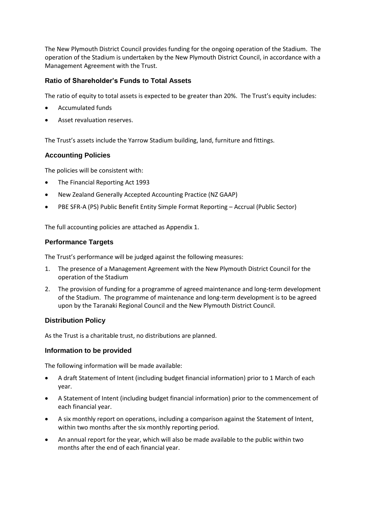The New Plymouth District Council provides funding for the ongoing operation of the Stadium. The operation of the Stadium is undertaken by the New Plymouth District Council, in accordance with a Management Agreement with the Trust.

# **Ratio of Shareholder's Funds to Total Assets**

The ratio of equity to total assets is expected to be greater than 20%. The Trust's equity includes:

- Accumulated funds
- Asset revaluation reserves.

The Trust's assets include the Yarrow Stadium building, land, furniture and fittings.

# **Accounting Policies**

The policies will be consistent with:

- The Financial Reporting Act 1993
- New Zealand Generally Accepted Accounting Practice (NZ GAAP)
- PBE SFR-A (PS) Public Benefit Entity Simple Format Reporting Accrual (Public Sector)

The full accounting policies are attached as Appendix 1.

# **Performance Targets**

The Trust's performance will be judged against the following measures:

- 1. The presence of a Management Agreement with the New Plymouth District Council for the operation of the Stadium
- 2. The provision of funding for a programme of agreed maintenance and long-term development of the Stadium. The programme of maintenance and long-term development is to be agreed upon by the Taranaki Regional Council and the New Plymouth District Council.

# **Distribution Policy**

As the Trust is a charitable trust, no distributions are planned.

#### **Information to be provided**

The following information will be made available:

- A draft Statement of Intent (including budget financial information) prior to 1 March of each year.
- A Statement of Intent (including budget financial information) prior to the commencement of each financial year.
- A six monthly report on operations, including a comparison against the Statement of Intent, within two months after the six monthly reporting period.
- An annual report for the year, which will also be made available to the public within two months after the end of each financial year.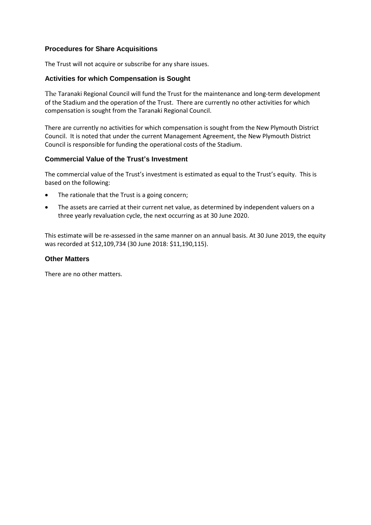# **Procedures for Share Acquisitions**

The Trust will not acquire or subscribe for any share issues.

# **Activities for which Compensation is Sought**

The Taranaki Regional Council will fund the Trust for the maintenance and long-term development of the Stadium and the operation of the Trust. There are currently no other activities for which compensation is sought from the Taranaki Regional Council.

There are currently no activities for which compensation is sought from the New Plymouth District Council. It is noted that under the current Management Agreement, the New Plymouth District Council is responsible for funding the operational costs of the Stadium.

# **Commercial Value of the Trust's Investment**

The commercial value of the Trust's investment is estimated as equal to the Trust's equity. This is based on the following:

- The rationale that the Trust is a going concern;
- The assets are carried at their current net value, as determined by independent valuers on a three yearly revaluation cycle, the next occurring as at 30 June 2020.

This estimate will be re-assessed in the same manner on an annual basis. At 30 June 2019, the equity was recorded at \$12,109,734 (30 June 2018: \$11,190,115).

# **Other Matters**

There are no other matters.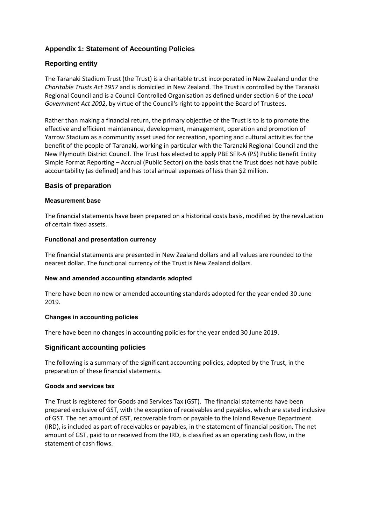# **Appendix 1: Statement of Accounting Policies**

# **Reporting entity**

The Taranaki Stadium Trust (the Trust) is a charitable trust incorporated in New Zealand under the *Charitable Trusts Act 1957* and is domiciled in New Zealand. The Trust is controlled by the Taranaki Regional Council and is a Council Controlled Organisation as defined under section 6 of the *Local Government Act 2002*, by virtue of the Council's right to appoint the Board of Trustees.

Rather than making a financial return, the primary objective of the Trust is to is to promote the effective and efficient maintenance, development, management, operation and promotion of Yarrow Stadium as a community asset used for recreation, sporting and cultural activities for the benefit of the people of Taranaki, working in particular with the Taranaki Regional Council and the New Plymouth District Council. The Trust has elected to apply PBE SFR-A (PS) Public Benefit Entity Simple Format Reporting – Accrual (Public Sector) on the basis that the Trust does not have public accountability (as defined) and has total annual expenses of less than \$2 million.

# **Basis of preparation**

#### **Measurement base**

The financial statements have been prepared on a historical costs basis, modified by the revaluation of certain fixed assets.

#### **Functional and presentation currency**

The financial statements are presented in New Zealand dollars and all values are rounded to the nearest dollar. The functional currency of the Trust is New Zealand dollars.

#### **New and amended accounting standards adopted**

There have been no new or amended accounting standards adopted for the year ended 30 June 2019.

#### **Changes in accounting policies**

There have been no changes in accounting policies for the year ended 30 June 2019.

#### **Significant accounting policies**

The following is a summary of the significant accounting policies, adopted by the Trust, in the preparation of these financial statements.

#### **Goods and services tax**

The Trust is registered for Goods and Services Tax (GST). The financial statements have been prepared exclusive of GST, with the exception of receivables and payables, which are stated inclusive of GST. The net amount of GST, recoverable from or payable to the Inland Revenue Department (IRD), is included as part of receivables or payables, in the statement of financial position. The net amount of GST, paid to or received from the IRD, is classified as an operating cash flow, in the statement of cash flows.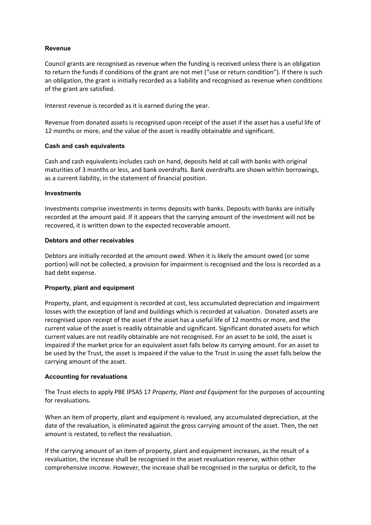# **Revenue**

Council grants are recognised as revenue when the funding is received unless there is an obligation to return the funds if conditions of the grant are not met ("use or return condition"). If there is such an obligation, the grant is initially recorded as a liability and recognised as revenue when conditions of the grant are satisfied.

Interest revenue is recorded as it is earned during the year.

Revenue from donated assets is recognised upon receipt of the asset if the asset has a useful life of 12 months or more, and the value of the asset is readily obtainable and significant.

#### **Cash and cash equivalents**

Cash and cash equivalents includes cash on hand, deposits held at call with banks with original maturities of 3 months or less, and bank overdrafts. Bank overdrafts are shown within borrowings, as a current liability, in the statement of financial position.

#### **Investments**

Investments comprise investments in terms deposits with banks. Deposits with banks are initially recorded at the amount paid. If it appears that the carrying amount of the investment will not be recovered, it is written down to the expected recoverable amount.

#### **Debtors and other receivables**

Debtors are initially recorded at the amount owed. When it is likely the amount owed (or some portion) will not be collected, a provision for impairment is recognised and the loss is recorded as a bad debt expense.

#### **Property, plant and equipment**

Property, plant, and equipment is recorded at cost, less accumulated depreciation and impairment losses with the exception of land and buildings which is recorded at valuation. Donated assets are recognised upon receipt of the asset if the asset has a useful life of 12 months or more, and the current value of the asset is readily obtainable and significant. Significant donated assets for which current values are not readily obtainable are not recognised. For an asset to be sold, the asset is impaired if the market price for an equivalent asset falls below its carrying amount. For an asset to be used by the Trust, the asset is impaired if the value to the Trust in using the asset falls below the carrying amount of the asset.

#### **Accounting for revaluations**

The Trust elects to apply PBE IPSAS 17 *Property, Plant and Equipment* for the purposes of accounting for revaluations.

When an item of property, plant and equipment is revalued, any accumulated depreciation, at the date of the revaluation, is eliminated against the gross carrying amount of the asset. Then, the net amount is restated, to reflect the revaluation.

If the carrying amount of an item of property, plant and equipment increases, as the result of a revaluation, the increase shall be recognised in the asset revaluation reserve, within other comprehensive income. However, the increase shall be recognised in the surplus or deficit, to the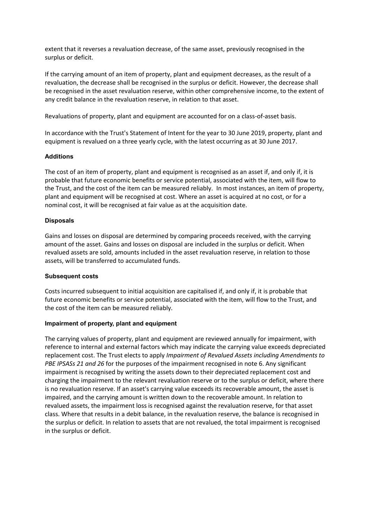extent that it reverses a revaluation decrease, of the same asset, previously recognised in the surplus or deficit.

If the carrying amount of an item of property, plant and equipment decreases, as the result of a revaluation, the decrease shall be recognised in the surplus or deficit. However, the decrease shall be recognised in the asset revaluation reserve, within other comprehensive income, to the extent of any credit balance in the revaluation reserve, in relation to that asset.

Revaluations of property, plant and equipment are accounted for on a class-of-asset basis.

In accordance with the Trust's Statement of Intent for the year to 30 June 2019, property, plant and equipment is revalued on a three yearly cycle, with the latest occurring as at 30 June 2017.

#### **Additions**

The cost of an item of property, plant and equipment is recognised as an asset if, and only if, it is probable that future economic benefits or service potential, associated with the item, will flow to the Trust, and the cost of the item can be measured reliably. In most instances, an item of property, plant and equipment will be recognised at cost. Where an asset is acquired at no cost, or for a nominal cost, it will be recognised at fair value as at the acquisition date.

# **Disposals**

Gains and losses on disposal are determined by comparing proceeds received, with the carrying amount of the asset. Gains and losses on disposal are included in the surplus or deficit. When revalued assets are sold, amounts included in the asset revaluation reserve, in relation to those assets, will be transferred to accumulated funds.

#### **Subsequent costs**

Costs incurred subsequent to initial acquisition are capitalised if, and only if, it is probable that future economic benefits or service potential, associated with the item, will flow to the Trust, and the cost of the item can be measured reliably.

#### **Impairment of property, plant and equipment**

The carrying values of property, plant and equipment are reviewed annually for impairment, with reference to internal and external factors which may indicate the carrying value exceeds depreciated replacement cost. The Trust elects to apply *Impairment of Revalued Assets including Amendments to PBE IPSASs 21 and 26* for the purposes of the impairment recognised in note 6. Any significant impairment is recognised by writing the assets down to their depreciated replacement cost and charging the impairment to the relevant revaluation reserve or to the surplus or deficit, where there is no revaluation reserve. If an asset's carrying value exceeds its recoverable amount, the asset is impaired, and the carrying amount is written down to the recoverable amount. In relation to revalued assets, the impairment loss is recognised against the revaluation reserve, for that asset class. Where that results in a debit balance, in the revaluation reserve, the balance is recognised in the surplus or deficit. In relation to assets that are not revalued, the total impairment is recognised in the surplus or deficit.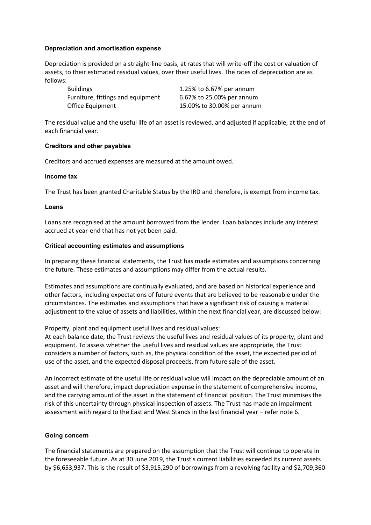#### **Depreciation and amortisation expense**

Depreciation is provided on a straight-line basis, at rates that will write-off the cost or valuation of assets, to their estimated residual values, over their useful lives. The rates of depreciation are as follows:

| <b>Buildings</b>                  | 1.25% to 6.67% per annum   |
|-----------------------------------|----------------------------|
| Furniture, fittings and equipment | 6.67% to 25.00% per annum  |
| Office Equipment                  | 15.00% to 30.00% per annum |

The residual value and the useful life of an asset is reviewed, and adjusted if applicable, at the end of each financial year.

#### **Creditors and other payables**

Creditors and accrued expenses are measured at the amount owed.

#### **Income tax**

The Trust has been granted Charitable Status by the IRD and therefore, is exempt from income tax.

#### **Loans**

Loans are recognised at the amount borrowed from the lender. Loan balances include any interest accrued at year-end that has not yet been paid.

#### **Critical accounting estimates and assumptions**

In preparing these financial statements, the Trust has made estimates and assumptions concerning the future. These estimates and assumptions may differ from the actual results.

Estimates and assumptions are continually evaluated, and are based on historical experience and other factors, including expectations of future events that are believed to be reasonable under the circumstances. The estimates and assumptions that have a significant risk of causing a material adjustment to the value of assets and liabilities, within the next financial year, are discussed below:

Property, plant and equipment useful lives and residual values:

At each balance date, the Trust reviews the useful lives and residual values of its property, plant and equipment. To assess whether the useful lives and residual values are appropriate, the Trust considers a number of factors, such as, the physical condition of the asset, the expected period of use of the asset, and the expected disposal proceeds, from future sale of the asset.

An incorrect estimate of the useful life or residual value will impact on the depreciable amount of an asset and will therefore, impact depreciation expense in the statement of comprehensive income, and the carrying amount of the asset in the statement of financial position. The Trust minimises the risk of this uncertainty through physical inspection of assets. The Trust has made an impairment assessment with regard to the East and West Stands in the last financial year – refer note 6.

#### **Going concern**

The financial statements are prepared on the assumption that the Trust will continue to operate in the foreseeable future. As at 30 June 2019, the Trust's current liabilities exceeded its current assets by \$6,653,937. This is the result of \$3,915,290 of borrowings from a revolving facility and \$2,709,360